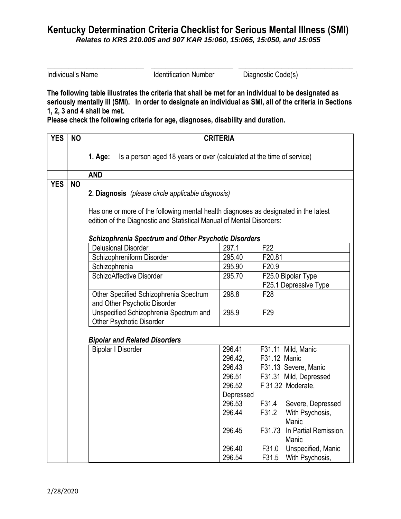## **Kentucky Determination Criteria Checklist for Serious Mental Illness (SMI)**  *Relates to KRS 210.005 and 907 KAR 15:060, 15:065, 15:050, and 15:055*

Individual's Name **Individual's Name** Identification Number Diagnostic Code(s)

**The following table illustrates the criteria that shall be met for an individual to be designated as seriously mentally ill (SMI). In order to designate an individual as SMI, all of the criteria in Sections 1, 2, 3 and 4 shall be met.**

\_\_\_\_\_\_\_\_\_\_\_\_\_\_\_\_\_\_\_\_\_\_\_\_\_\_\_ \_\_\_\_\_\_\_\_\_\_\_\_\_\_\_\_\_\_\_\_\_\_\_ \_\_\_\_\_\_\_\_\_\_\_\_\_\_\_\_\_\_\_\_\_\_\_\_\_\_\_\_\_\_\_\_

**Please check the following criteria for age, diagnoses, disability and duration.**

| <b>YES</b> | <b>NO</b> | <b>CRITERIA</b>                                                                      |           |                                          |  |  |
|------------|-----------|--------------------------------------------------------------------------------------|-----------|------------------------------------------|--|--|
|            |           | 1. Age:<br>Is a person aged 18 years or over (calculated at the time of service)     |           |                                          |  |  |
|            |           | <b>AND</b>                                                                           |           |                                          |  |  |
| <b>YES</b> | <b>NO</b> | 2. Diagnosis (please circle applicable diagnosis)                                    |           |                                          |  |  |
|            |           | Has one or more of the following mental health diagnoses as designated in the latest |           |                                          |  |  |
|            |           | edition of the Diagnostic and Statistical Manual of Mental Disorders:                |           |                                          |  |  |
|            |           | <b>Schizophrenia Spectrum and Other Psychotic Disorders</b>                          |           |                                          |  |  |
|            |           | <b>Delusional Disorder</b>                                                           | 297.1     | F <sub>22</sub>                          |  |  |
|            |           | Schizophreniform Disorder                                                            | 295.40    | F20.81                                   |  |  |
|            |           | Schizophrenia                                                                        | 295.90    | F20.9                                    |  |  |
|            |           | SchizoAffective Disorder                                                             | 295.70    | F25.0 Bipolar Type                       |  |  |
|            |           |                                                                                      |           | F25.1 Depressive Type                    |  |  |
|            |           | Other Specified Schizophrenia Spectrum<br>and Other Psychotic Disorder               | 298.8     | F <sub>28</sub>                          |  |  |
|            |           | Unspecified Schizophrenia Spectrum and<br><b>Other Psychotic Disorder</b>            | 298.9     | F <sub>29</sub>                          |  |  |
|            |           | <b>Bipolar and Related Disorders</b>                                                 |           |                                          |  |  |
|            |           | <b>Bipolar I Disorder</b>                                                            | 296.41    | F31.11 Mild, Manic                       |  |  |
|            |           |                                                                                      | 296.42,   | F31.12 Manic                             |  |  |
|            |           |                                                                                      | 296.43    | F31.13 Severe, Manic                     |  |  |
|            |           |                                                                                      | 296.51    | F31.31 Mild, Depressed                   |  |  |
|            |           |                                                                                      | 296.52    | F 31.32 Moderate,                        |  |  |
|            |           |                                                                                      | Depressed |                                          |  |  |
|            |           |                                                                                      | 296.53    | F31.4<br>Severe, Depressed               |  |  |
|            |           |                                                                                      | 296.44    | F31.2<br>With Psychosis,<br>Manic        |  |  |
|            |           |                                                                                      | 296.45    | F31.73<br>In Partial Remission,<br>Manic |  |  |
|            |           |                                                                                      | 296.40    | F31.0<br>Unspecified, Manic              |  |  |
|            |           |                                                                                      | 296.54    | F31.5<br>With Psychosis,                 |  |  |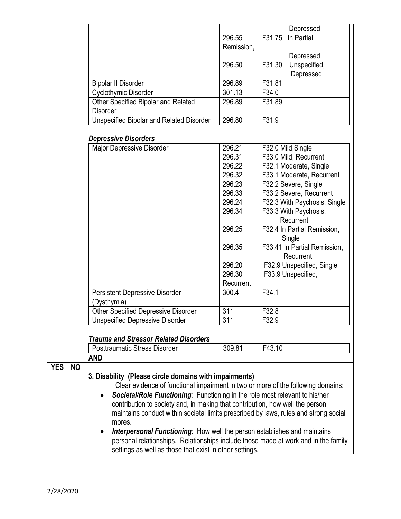|            |           |                                                                                      |            | Depressed                          |
|------------|-----------|--------------------------------------------------------------------------------------|------------|------------------------------------|
|            |           |                                                                                      | 296.55     | F31.75<br>In Partial               |
|            |           |                                                                                      | Remission, |                                    |
|            |           |                                                                                      |            | Depressed                          |
|            |           |                                                                                      | 296.50     | F31.30<br>Unspecified,             |
|            |           |                                                                                      |            | Depressed                          |
|            |           | <b>Bipolar II Disorder</b>                                                           | 296.89     | F31.81                             |
|            |           | Cyclothymic Disorder                                                                 | 301.13     | F34.0                              |
|            |           | Other Specified Bipolar and Related                                                  | 296.89     | F31.89                             |
|            |           | <b>Disorder</b>                                                                      |            |                                    |
|            |           | Unspecified Bipolar and Related Disorder                                             | 296.80     | F31.9                              |
|            |           |                                                                                      |            |                                    |
|            |           | <b>Depressive Disorders</b>                                                          |            |                                    |
|            |           | Major Depressive Disorder                                                            | 296.21     | F32.0 Mild, Single                 |
|            |           |                                                                                      | 296.31     | F33.0 Mild, Recurrent              |
|            |           |                                                                                      | 296.22     | F32.1 Moderate, Single             |
|            |           |                                                                                      | 296.32     | F33.1 Moderate, Recurrent          |
|            |           |                                                                                      | 296.23     | F32.2 Severe, Single               |
|            |           |                                                                                      | 296.33     | F33.2 Severe, Recurrent            |
|            |           |                                                                                      | 296.24     | F32.3 With Psychosis, Single       |
|            |           |                                                                                      | 296.34     |                                    |
|            |           |                                                                                      |            | F33.3 With Psychosis,<br>Recurrent |
|            |           |                                                                                      | 296.25     | F32.4 In Partial Remission,        |
|            |           |                                                                                      |            | Single                             |
|            |           |                                                                                      | 296.35     | F33.41 In Partial Remission,       |
|            |           |                                                                                      |            | Recurrent                          |
|            |           |                                                                                      | 296.20     | F32.9 Unspecified, Single          |
|            |           |                                                                                      | 296.30     | F33.9 Unspecified,                 |
|            |           |                                                                                      | Recurrent  |                                    |
|            |           | <b>Persistent Depressive Disorder</b>                                                | 300.4      | F34.1                              |
|            |           | (Dysthymia)                                                                          |            |                                    |
|            |           | <b>Other Specified Depressive Disorder</b>                                           | 311        | F32.8                              |
|            |           | <b>Unspecified Depressive Disorder</b>                                               | 311        | F32.9                              |
|            |           |                                                                                      |            |                                    |
|            |           | <b>Trauma and Stressor Related Disorders</b>                                         |            |                                    |
|            |           | <b>Posttraumatic Stress Disorder</b>                                                 | 309.81     | F43.10                             |
|            |           | <b>AND</b>                                                                           |            |                                    |
| <b>YES</b> | <b>NO</b> |                                                                                      |            |                                    |
|            |           | 3. Disability (Please circle domains with impairments)                               |            |                                    |
|            |           | Clear evidence of functional impairment in two or more of the following domains:     |            |                                    |
|            |           | Societal/Role Functioning: Functioning in the role most relevant to his/her          |            |                                    |
|            |           | contribution to society and, in making that contribution, how well the person        |            |                                    |
|            |           | maintains conduct within societal limits prescribed by laws, rules and strong social |            |                                    |
|            |           | mores.                                                                               |            |                                    |
|            |           | <b>Interpersonal Functioning:</b> How well the person establishes and maintains      |            |                                    |
|            |           |                                                                                      |            |                                    |
|            |           | personal relationships. Relationships include those made at work and in the family   |            |                                    |
|            |           | settings as well as those that exist in other settings.                              |            |                                    |